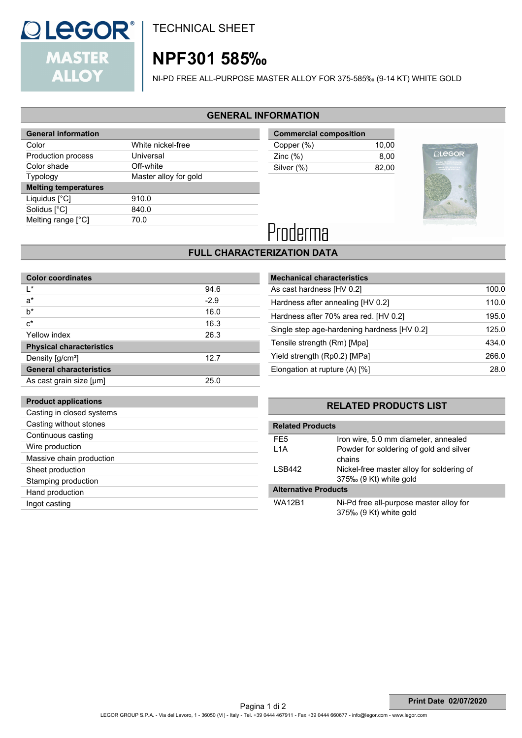

TECHNICAL SHEET

## **NPF301 585‰**

NI-PD FREE ALL-PURPOSE MASTER ALLOY FOR 375-585‰ (9-14 KT) WHITE GOLD

#### **GENERAL INFORMATION**

| <b>General information</b>  |                       |
|-----------------------------|-----------------------|
| Color                       | White nickel-free     |
| Production process          | Universal             |
| Color shade                 | Off-white             |
| <b>Typology</b>             | Master alloy for gold |
| <b>Melting temperatures</b> |                       |
| Liquidus [°C]               | 910.0                 |
|                             |                       |
| Solidus [°C]                | 840.0                 |
| Melting range [°C]          | 70.0                  |

**Commercial composition** Copper (%) 10,00 Zinc (%) 8,00 Silver (%) 82,00



# Proderma

### **FULL CHARACTERIZATION DATA**

| <b>Color coordinates</b>        |        |
|---------------------------------|--------|
| I∗                              | 94.6   |
| a*                              | $-2.9$ |
| b*                              | 16.0   |
| $c^*$                           | 16.3   |
| Yellow index                    | 26.3   |
| <b>Physical characteristics</b> |        |
| Density [g/cm <sup>3</sup> ]    | 12.7   |
| <b>General characteristics</b>  |        |
| As cast grain size [µm]         | 25.0   |
|                                 |        |
| <b>Product applications</b>     |        |
| Casting in closed systems       |        |
| Casting without stones          |        |
| Continuous casting              |        |
| Wire production                 |        |
| Massive chain production        |        |
| Sheet production                |        |

Stamping production Hand production Ingot casting

| <b>Mechanical characteristics</b>           |       |
|---------------------------------------------|-------|
| As cast hardness [HV 0.2]                   | 100.0 |
| Hardness after annealing [HV 0.2]           | 110.0 |
| Hardness after 70% area red. [HV 0.2]       | 195.0 |
| Single step age-hardening hardness [HV 0.2] | 125.0 |
| Tensile strength (Rm) [Mpa]                 | 434.0 |
| Yield strength (Rp0.2) [MPa]                | 266.0 |
| Elongation at rupture (A) [%]               | 28.0  |

#### **RELATED PRODUCTS LIST**

| <b>Related Products</b>     |                                                                     |
|-----------------------------|---------------------------------------------------------------------|
| FE <sub>5</sub>             | Iron wire, 5.0 mm diameter, annealed                                |
| L <sub>1</sub> A            | Powder for soldering of gold and silver<br>chains                   |
| LSB442                      | Nickel-free master alloy for soldering of<br>375‰ (9 Kt) white gold |
| <b>Alternative Products</b> |                                                                     |
| WA12B1                      | Ni-Pd free all-purpose master alloy for<br>375‰ (9 Kt) white gold   |